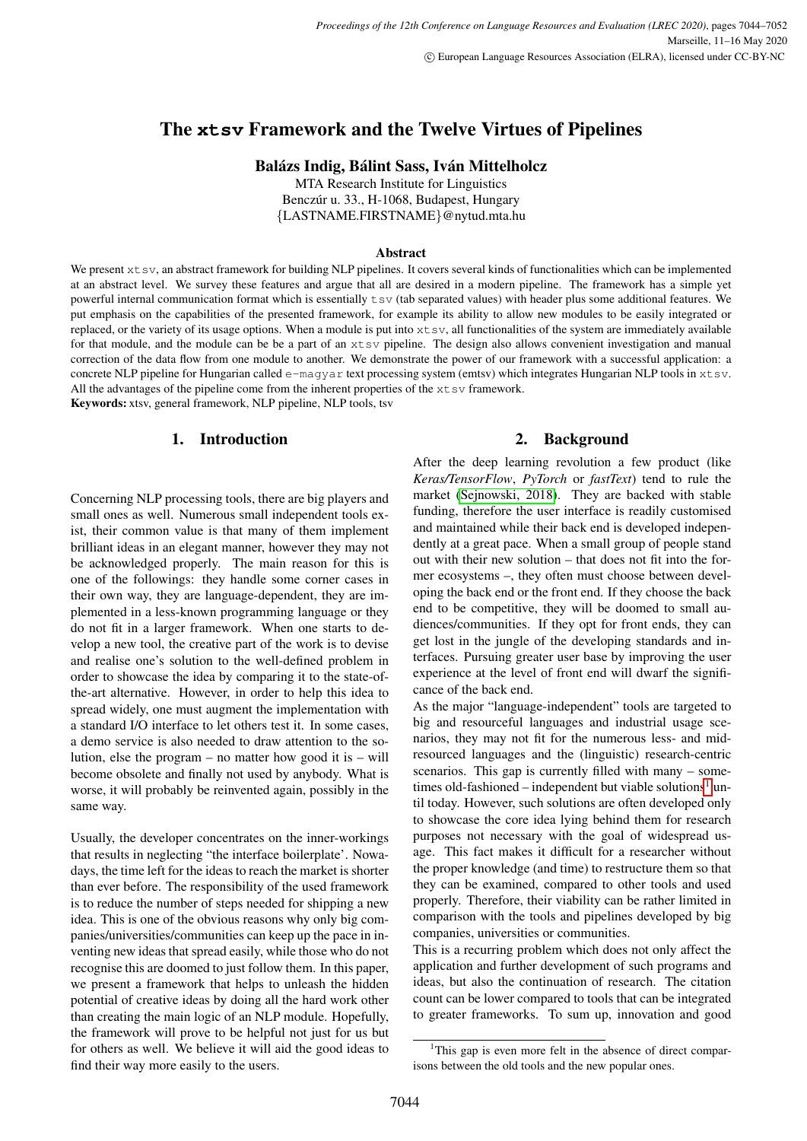# The **xtsv** Framework and the Twelve Virtues of Pipelines

Balázs Indig, Bálint Sass, Iván Mittelholcz

MTA Research Institute for Linguistics Benczúr u. 33., H-1068, Budapest, Hungary {LASTNAME.FIRSTNAME}@nytud.mta.hu

#### Abstract

We present  $x$ t sv, an abstract framework for building NLP pipelines. It covers several kinds of functionalities which can be implemented at an abstract level. We survey these features and argue that all are desired in a modern pipeline. The framework has a simple yet powerful internal communication format which is essentially tsv (tab separated values) with header plus some additional features. We put emphasis on the capabilities of the presented framework, for example its ability to allow new modules to be easily integrated or replaced, or the variety of its usage options. When a module is put into xtsv, all functionalities of the system are immediately available for that module, and the module can be be a part of an xtsv pipeline. The design also allows convenient investigation and manual correction of the data flow from one module to another. We demonstrate the power of our framework with a successful application: a concrete NLP pipeline for Hungarian called e-magyar text processing system (emtsv) which integrates Hungarian NLP tools in xtsv. All the advantages of the pipeline come from the inherent properties of the  $x$ t sv framework.

Keywords: xtsv, general framework, NLP pipeline, NLP tools, tsv

### 1. Introduction

Concerning NLP processing tools, there are big players and small ones as well. Numerous small independent tools exist, their common value is that many of them implement brilliant ideas in an elegant manner, however they may not be acknowledged properly. The main reason for this is one of the followings: they handle some corner cases in their own way, they are language-dependent, they are implemented in a less-known programming language or they do not fit in a larger framework. When one starts to develop a new tool, the creative part of the work is to devise and realise one's solution to the well-defined problem in order to showcase the idea by comparing it to the state-ofthe-art alternative. However, in order to help this idea to spread widely, one must augment the implementation with a standard I/O interface to let others test it. In some cases, a demo service is also needed to draw attention to the solution, else the program – no matter how good it is – will become obsolete and finally not used by anybody. What is worse, it will probably be reinvented again, possibly in the same way.

Usually, the developer concentrates on the inner-workings that results in neglecting "the interface boilerplate'. Nowadays, the time left for the ideas to reach the market is shorter than ever before. The responsibility of the used framework is to reduce the number of steps needed for shipping a new idea. This is one of the obvious reasons why only big companies/universities/communities can keep up the pace in inventing new ideas that spread easily, while those who do not recognise this are doomed to just follow them. In this paper, we present a framework that helps to unleash the hidden potential of creative ideas by doing all the hard work other than creating the main logic of an NLP module. Hopefully, the framework will prove to be helpful not just for us but for others as well. We believe it will aid the good ideas to find their way more easily to the users.

## 2. Background

After the deep learning revolution a few product (like *Keras/TensorFlow*, *PyTorch* or *fastText*) tend to rule the market [\(Sejnowski, 2018\)](#page-8-0). They are backed with stable funding, therefore the user interface is readily customised and maintained while their back end is developed independently at a great pace. When a small group of people stand out with their new solution – that does not fit into the former ecosystems –, they often must choose between developing the back end or the front end. If they choose the back end to be competitive, they will be doomed to small audiences/communities. If they opt for front ends, they can get lost in the jungle of the developing standards and interfaces. Pursuing greater user base by improving the user experience at the level of front end will dwarf the significance of the back end.

As the major "language-independent" tools are targeted to big and resourceful languages and industrial usage scenarios, they may not fit for the numerous less- and midresourced languages and the (linguistic) research-centric scenarios. This gap is currently filled with many – some-times old-fashioned – independent but viable solutions<sup>[1](#page-0-0)</sup> until today. However, such solutions are often developed only to showcase the core idea lying behind them for research purposes not necessary with the goal of widespread usage. This fact makes it difficult for a researcher without the proper knowledge (and time) to restructure them so that they can be examined, compared to other tools and used properly. Therefore, their viability can be rather limited in comparison with the tools and pipelines developed by big companies, universities or communities.

This is a recurring problem which does not only affect the application and further development of such programs and ideas, but also the continuation of research. The citation count can be lower compared to tools that can be integrated to greater frameworks. To sum up, innovation and good

<span id="page-0-0"></span><sup>&</sup>lt;sup>1</sup>This gap is even more felt in the absence of direct comparisons between the old tools and the new popular ones.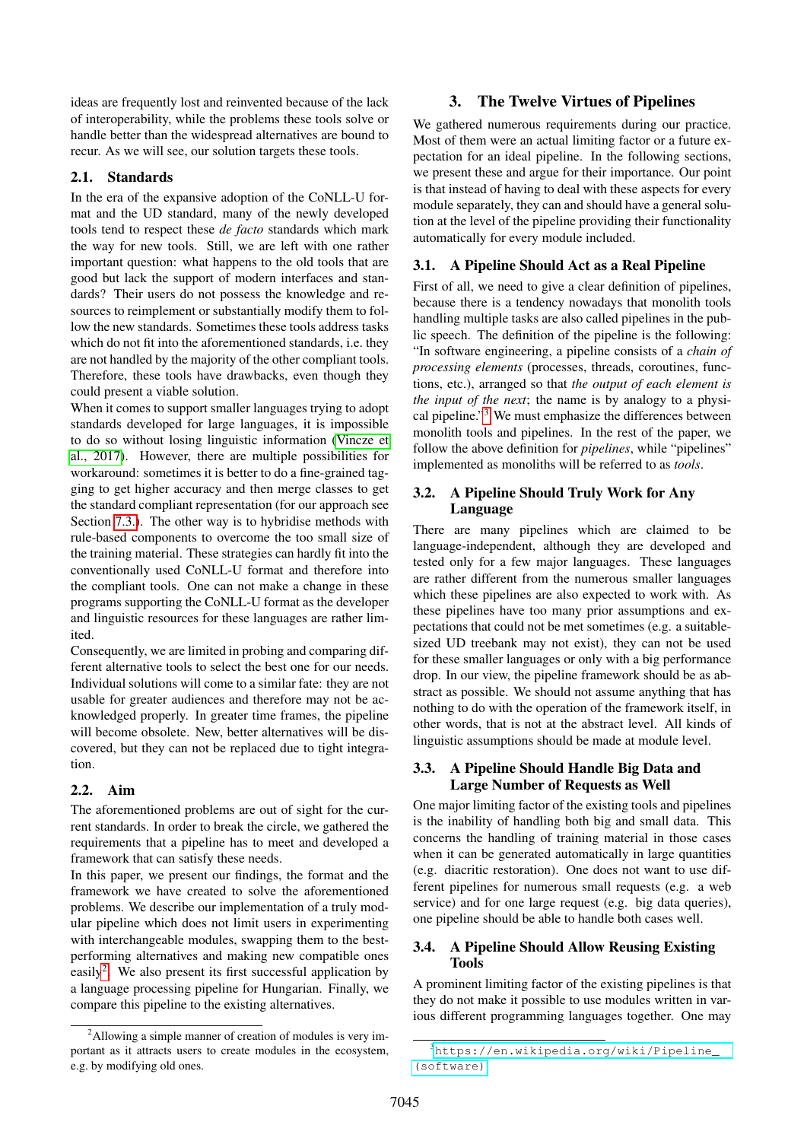ideas are frequently lost and reinvented because of the lack of interoperability, while the problems these tools solve or handle better than the widespread alternatives are bound to recur. As we will see, our solution targets these tools.

### 2.1. Standards

In the era of the expansive adoption of the CoNLL-U format and the UD standard, many of the newly developed tools tend to respect these *de facto* standards which mark the way for new tools. Still, we are left with one rather important question: what happens to the old tools that are good but lack the support of modern interfaces and standards? Their users do not possess the knowledge and resources to reimplement or substantially modify them to follow the new standards. Sometimes these tools address tasks which do not fit into the aforementioned standards, i.e. they are not handled by the majority of the other compliant tools. Therefore, these tools have drawbacks, even though they could present a viable solution.

When it comes to support smaller languages trying to adopt standards developed for large languages, it is impossible to do so without losing linguistic information [\(Vincze et](#page-8-1) [al., 2017\)](#page-8-1). However, there are multiple possibilities for workaround: sometimes it is better to do a fine-grained tagging to get higher accuracy and then merge classes to get the standard compliant representation (for our approach see Section [7.3.\)](#page-6-0). The other way is to hybridise methods with rule-based components to overcome the too small size of the training material. These strategies can hardly fit into the conventionally used CoNLL-U format and therefore into the compliant tools. One can not make a change in these programs supporting the CoNLL-U format as the developer and linguistic resources for these languages are rather limited.

Consequently, we are limited in probing and comparing different alternative tools to select the best one for our needs. Individual solutions will come to a similar fate: they are not usable for greater audiences and therefore may not be acknowledged properly. In greater time frames, the pipeline will become obsolete. New, better alternatives will be discovered, but they can not be replaced due to tight integration.

### 2.2. Aim

The aforementioned problems are out of sight for the current standards. In order to break the circle, we gathered the requirements that a pipeline has to meet and developed a framework that can satisfy these needs.

In this paper, we present our findings, the format and the framework we have created to solve the aforementioned problems. We describe our implementation of a truly modular pipeline which does not limit users in experimenting with interchangeable modules, swapping them to the bestperforming alternatives and making new compatible ones easily<sup>[2](#page-1-0)</sup>. We also present its first successful application by a language processing pipeline for Hungarian. Finally, we compare this pipeline to the existing alternatives.

## 3. The Twelve Virtues of Pipelines

<span id="page-1-2"></span>We gathered numerous requirements during our practice. Most of them were an actual limiting factor or a future expectation for an ideal pipeline. In the following sections, we present these and argue for their importance. Our point is that instead of having to deal with these aspects for every module separately, they can and should have a general solution at the level of the pipeline providing their functionality automatically for every module included.

### 3.1. A Pipeline Should Act as a Real Pipeline

First of all, we need to give a clear definition of pipelines, because there is a tendency nowadays that monolith tools handling multiple tasks are also called pipelines in the public speech. The definition of the pipeline is the following: "In software engineering, a pipeline consists of a *chain of processing elements* (processes, threads, coroutines, functions, etc.), arranged so that *the output of each element is the input of the next*; the name is by analogy to a physical pipeline."[3](#page-1-1) We must emphasize the differences between monolith tools and pipelines. In the rest of the paper, we follow the above definition for *pipelines*, while "pipelines" implemented as monoliths will be referred to as *tools*.

### 3.2. A Pipeline Should Truly Work for Any Language

There are many pipelines which are claimed to be language-independent, although they are developed and tested only for a few major languages. These languages are rather different from the numerous smaller languages which these pipelines are also expected to work with. As these pipelines have too many prior assumptions and expectations that could not be met sometimes (e.g. a suitablesized UD treebank may not exist), they can not be used for these smaller languages or only with a big performance drop. In our view, the pipeline framework should be as abstract as possible. We should not assume anything that has nothing to do with the operation of the framework itself, in other words, that is not at the abstract level. All kinds of linguistic assumptions should be made at module level.

### 3.3. A Pipeline Should Handle Big Data and Large Number of Requests as Well

One major limiting factor of the existing tools and pipelines is the inability of handling both big and small data. This concerns the handling of training material in those cases when it can be generated automatically in large quantities (e.g. diacritic restoration). One does not want to use different pipelines for numerous small requests (e.g. a web service) and for one large request (e.g. big data queries), one pipeline should be able to handle both cases well.

### 3.4. A Pipeline Should Allow Reusing Existing Tools

A prominent limiting factor of the existing pipelines is that they do not make it possible to use modules written in various different programming languages together. One may

<span id="page-1-0"></span><sup>&</sup>lt;sup>2</sup>Allowing a simple manner of creation of modules is very important as it attracts users to create modules in the ecosystem, e.g. by modifying old ones.

<span id="page-1-1"></span><sup>3</sup>[https://en.wikipedia.org/wiki/Pipeline\\_](https://en.wikipedia.org/wiki/Pipeline_(software)) [\(software\)](https://en.wikipedia.org/wiki/Pipeline_(software))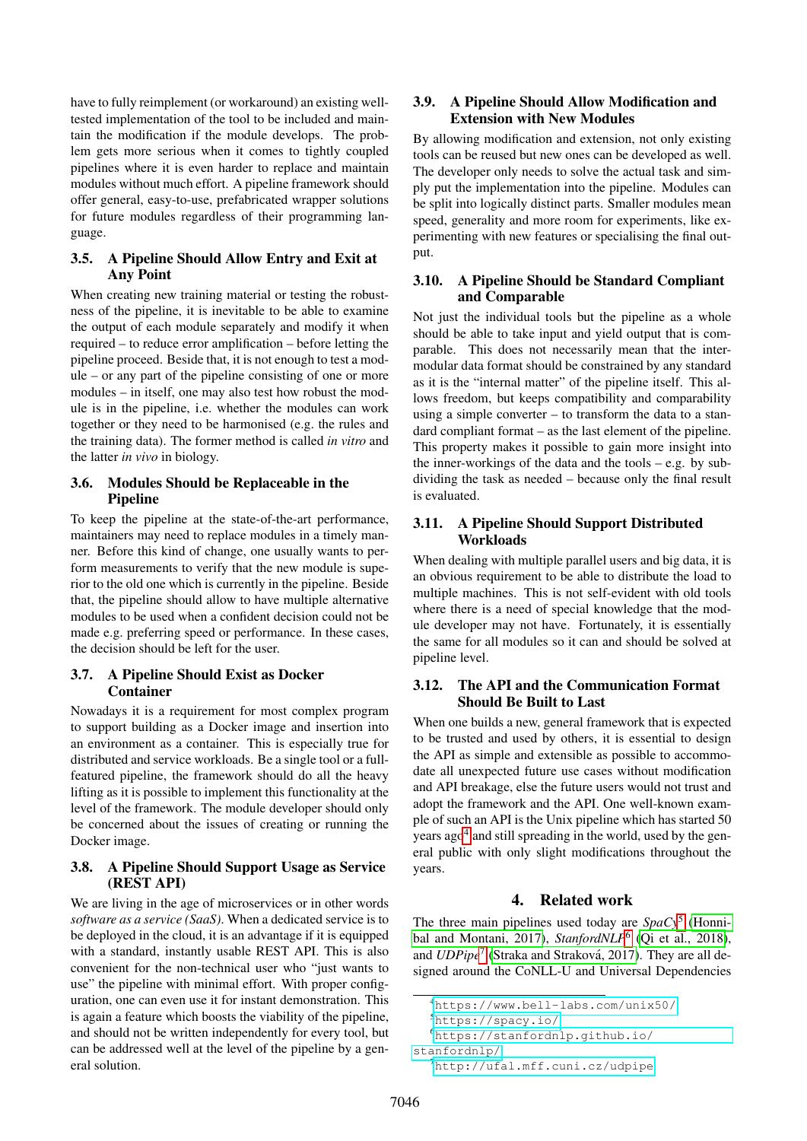have to fully reimplement (or workaround) an existing welltested implementation of the tool to be included and maintain the modification if the module develops. The problem gets more serious when it comes to tightly coupled pipelines where it is even harder to replace and maintain modules without much effort. A pipeline framework should offer general, easy-to-use, prefabricated wrapper solutions for future modules regardless of their programming language.

### 3.5. A Pipeline Should Allow Entry and Exit at Any Point

When creating new training material or testing the robustness of the pipeline, it is inevitable to be able to examine the output of each module separately and modify it when required – to reduce error amplification – before letting the pipeline proceed. Beside that, it is not enough to test a module – or any part of the pipeline consisting of one or more modules – in itself, one may also test how robust the module is in the pipeline, i.e. whether the modules can work together or they need to be harmonised (e.g. the rules and the training data). The former method is called *in vitro* and the latter *in vivo* in biology.

### 3.6. Modules Should be Replaceable in the **Pipeline**

To keep the pipeline at the state-of-the-art performance, maintainers may need to replace modules in a timely manner. Before this kind of change, one usually wants to perform measurements to verify that the new module is superior to the old one which is currently in the pipeline. Beside that, the pipeline should allow to have multiple alternative modules to be used when a confident decision could not be made e.g. preferring speed or performance. In these cases, the decision should be left for the user.

## 3.7. A Pipeline Should Exist as Docker Container

Nowadays it is a requirement for most complex program to support building as a Docker image and insertion into an environment as a container. This is especially true for distributed and service workloads. Be a single tool or a fullfeatured pipeline, the framework should do all the heavy lifting as it is possible to implement this functionality at the level of the framework. The module developer should only be concerned about the issues of creating or running the Docker image.

## <span id="page-2-4"></span>3.8. A Pipeline Should Support Usage as Service (REST API)

We are living in the age of microservices or in other words *software as a service (SaaS)*. When a dedicated service is to be deployed in the cloud, it is an advantage if it is equipped with a standard, instantly usable REST API. This is also convenient for the non-technical user who "just wants to use" the pipeline with minimal effort. With proper configuration, one can even use it for instant demonstration. This is again a feature which boosts the viability of the pipeline, and should not be written independently for every tool, but can be addressed well at the level of the pipeline by a general solution.

### 3.9. A Pipeline Should Allow Modification and Extension with New Modules

By allowing modification and extension, not only existing tools can be reused but new ones can be developed as well. The developer only needs to solve the actual task and simply put the implementation into the pipeline. Modules can be split into logically distinct parts. Smaller modules mean speed, generality and more room for experiments, like experimenting with new features or specialising the final output.

### 3.10. A Pipeline Should be Standard Compliant and Comparable

Not just the individual tools but the pipeline as a whole should be able to take input and yield output that is comparable. This does not necessarily mean that the intermodular data format should be constrained by any standard as it is the "internal matter" of the pipeline itself. This allows freedom, but keeps compatibility and comparability using a simple converter – to transform the data to a standard compliant format – as the last element of the pipeline. This property makes it possible to gain more insight into the inner-workings of the data and the tools – e.g. by subdividing the task as needed – because only the final result is evaluated.

### 3.11. A Pipeline Should Support Distributed **Workloads**

When dealing with multiple parallel users and big data, it is an obvious requirement to be able to distribute the load to multiple machines. This is not self-evident with old tools where there is a need of special knowledge that the module developer may not have. Fortunately, it is essentially the same for all modules so it can and should be solved at pipeline level.

### <span id="page-2-5"></span>3.12. The API and the Communication Format Should Be Built to Last

When one builds a new, general framework that is expected to be trusted and used by others, it is essential to design the API as simple and extensible as possible to accommodate all unexpected future use cases without modification and API breakage, else the future users would not trust and adopt the framework and the API. One well-known example of such an API is the Unix pipeline which has started 50 years ago<sup>[4](#page-2-0)</sup> and still spreading in the world, used by the general public with only slight modifications throughout the years.

## 4. Related work

<span id="page-2-6"></span>The three main pipelines used today are *SpaCy*[5](#page-2-1) [\(Honni](#page-8-2)[bal and Montani, 2017\)](#page-8-2), *StanfordNLP*[6](#page-2-2) [\(Qi et al., 2018\)](#page-8-3), and *UDPipe*<sup>[7](#page-2-3)</sup> (Straka and Straková, 2017). They are all designed around the CoNLL-U and Universal Dependencies

```
4https://www.bell-labs.com/unix50/
```

```
5https://spacy.io/
```

```
6https://stanfordnlp.github.io/
```

```
stanfordnlp/
```
<span id="page-2-3"></span><sup>7</sup><http://ufal.mff.cuni.cz/udpipe>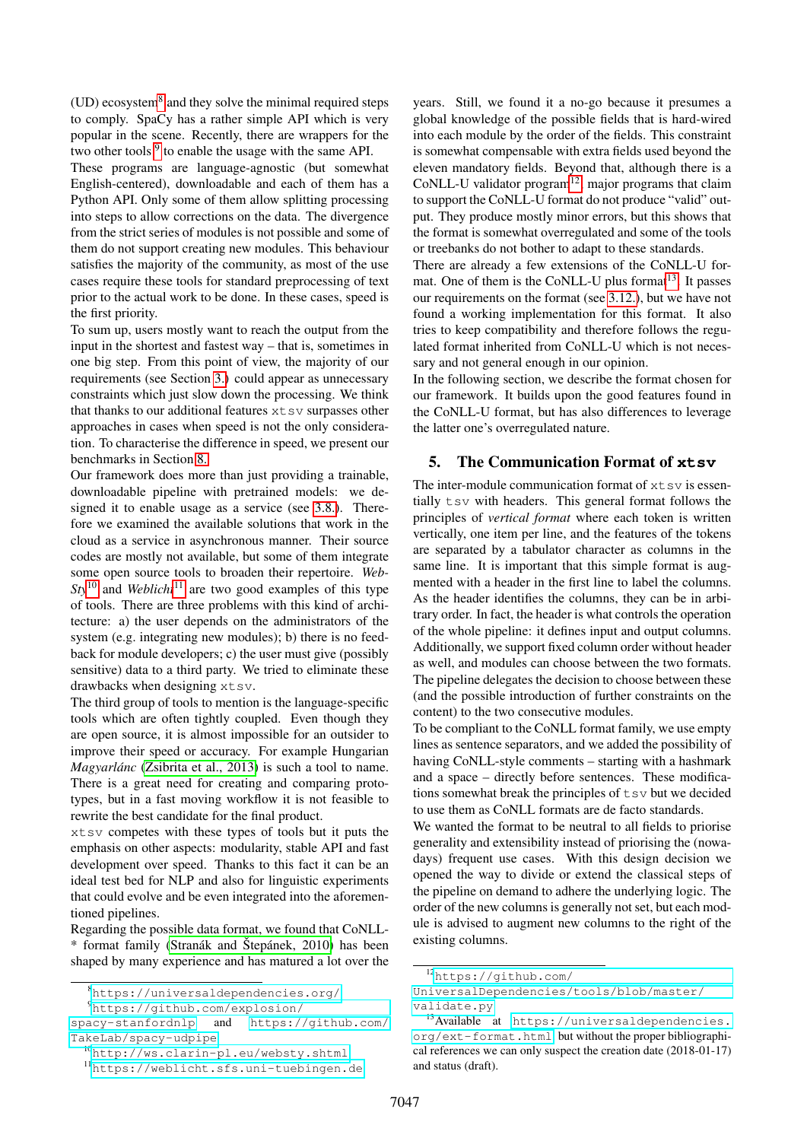$(UD)$  ecosystem $8$  and they solve the minimal required steps to comply. SpaCy has a rather simple API which is very popular in the scene. Recently, there are wrappers for the two other tools  $9$  to enable the usage with the same API.

These programs are language-agnostic (but somewhat English-centered), downloadable and each of them has a Python API. Only some of them allow splitting processing into steps to allow corrections on the data. The divergence from the strict series of modules is not possible and some of them do not support creating new modules. This behaviour satisfies the majority of the community, as most of the use cases require these tools for standard preprocessing of text prior to the actual work to be done. In these cases, speed is the first priority.

To sum up, users mostly want to reach the output from the input in the shortest and fastest way – that is, sometimes in one big step. From this point of view, the majority of our requirements (see Section [3.\)](#page-1-2) could appear as unnecessary constraints which just slow down the processing. We think that thanks to our additional features  $x$ tsv surpasses other approaches in cases when speed is not the only consideration. To characterise the difference in speed, we present our benchmarks in Section [8.](#page-7-0)

Our framework does more than just providing a trainable, downloadable pipeline with pretrained models: we designed it to enable usage as a service (see [3.8.\)](#page-2-4). Therefore we examined the available solutions that work in the cloud as a service in asynchronous manner. Their source codes are mostly not available, but some of them integrate some open source tools to broaden their repertoire. *Web-* $Sty^{10}$  $Sty^{10}$  $Sty^{10}$  and *Weblicht*<sup>[11](#page-3-3)</sup> are two good examples of this type of tools. There are three problems with this kind of architecture: a) the user depends on the administrators of the system (e.g. integrating new modules); b) there is no feedback for module developers; c) the user must give (possibly sensitive) data to a third party. We tried to eliminate these drawbacks when designing xtsv.

The third group of tools to mention is the language-specific tools which are often tightly coupled. Even though they are open source, it is almost impossible for an outsider to improve their speed or accuracy. For example Hungarian *Magyarlánc* [\(Zsibrita et al., 2013\)](#page-8-5) is such a tool to name. There is a great need for creating and comparing prototypes, but in a fast moving workflow it is not feasible to rewrite the best candidate for the final product.

xtsv competes with these types of tools but it puts the emphasis on other aspects: modularity, stable API and fast development over speed. Thanks to this fact it can be an ideal test bed for NLP and also for linguistic experiments that could evolve and be even integrated into the aforementioned pipelines.

Regarding the possible data format, we found that CoNLL-  $*$  format family (Stranák and Štepánek, 2010) has been shaped by many experience and has matured a lot over the years. Still, we found it a no-go because it presumes a global knowledge of the possible fields that is hard-wired into each module by the order of the fields. This constraint is somewhat compensable with extra fields used beyond the eleven mandatory fields. Beyond that, although there is a CoNLL-U validator program $12$ , major programs that claim to support the CoNLL-U format do not produce "valid" output. They produce mostly minor errors, but this shows that the format is somewhat overregulated and some of the tools or treebanks do not bother to adapt to these standards.

There are already a few extensions of the CoNLL-U format. One of them is the CoNLL-U plus format $13$ . It passes our requirements on the format (see [3.12.\)](#page-2-5), but we have not found a working implementation for this format. It also tries to keep compatibility and therefore follows the regulated format inherited from CoNLL-U which is not necessary and not general enough in our opinion.

In the following section, we describe the format chosen for our framework. It builds upon the good features found in the CoNLL-U format, but has also differences to leverage the latter one's overregulated nature.

### <span id="page-3-6"></span>5. The Communication Format of **xtsv**

The inter-module communication format of  $x$ tsv is essentially tsv with headers. This general format follows the principles of *vertical format* where each token is written vertically, one item per line, and the features of the tokens are separated by a tabulator character as columns in the same line. It is important that this simple format is augmented with a header in the first line to label the columns. As the header identifies the columns, they can be in arbitrary order. In fact, the header is what controls the operation of the whole pipeline: it defines input and output columns. Additionally, we support fixed column order without header as well, and modules can choose between the two formats. The pipeline delegates the decision to choose between these (and the possible introduction of further constraints on the content) to the two consecutive modules.

To be compliant to the CoNLL format family, we use empty lines as sentence separators, and we added the possibility of having CoNLL-style comments – starting with a hashmark and a space – directly before sentences. These modifications somewhat break the principles of  $tsv$  but we decided to use them as CoNLL formats are de facto standards.

We wanted the format to be neutral to all fields to priorise generality and extensibility instead of priorising the (nowadays) frequent use cases. With this design decision we opened the way to divide or extend the classical steps of the pipeline on demand to adhere the underlying logic. The order of the new columns is generally not set, but each module is advised to augment new columns to the right of the existing columns.

<span id="page-3-0"></span><sup>8</sup><https://universaldependencies.org/>

<span id="page-3-1"></span><sup>9</sup>[https://github.com/explosion/](https://github.com/explosion/spacy-stanfordnlp)

[spacy-stanfordnlp](https://github.com/explosion/spacy-stanfordnlp) and [https://github.com/](https://github.com/TakeLab/spacy-udpipe) [TakeLab/spacy-udpipe](https://github.com/TakeLab/spacy-udpipe)

<span id="page-3-2"></span><sup>10</sup><http://ws.clarin-pl.eu/websty.shtml>

<span id="page-3-3"></span><sup>11</sup><https://weblicht.sfs.uni-tuebingen.de>

<span id="page-3-4"></span><sup>12</sup>[https://github.com/](https://github.com/UniversalDependencies/tools/blob/master/validate.py)

[UniversalDependencies/tools/blob/master/](https://github.com/UniversalDependencies/tools/blob/master/validate.py) [validate.py](https://github.com/UniversalDependencies/tools/blob/master/validate.py)

<span id="page-3-5"></span><sup>13</sup>Available at [https://universaldependencies.](https://universaldependencies.org/ext-format.html) [org/ext-format.html](https://universaldependencies.org/ext-format.html), but without the proper bibliographical references we can only suspect the creation date (2018-01-17) and status (draft).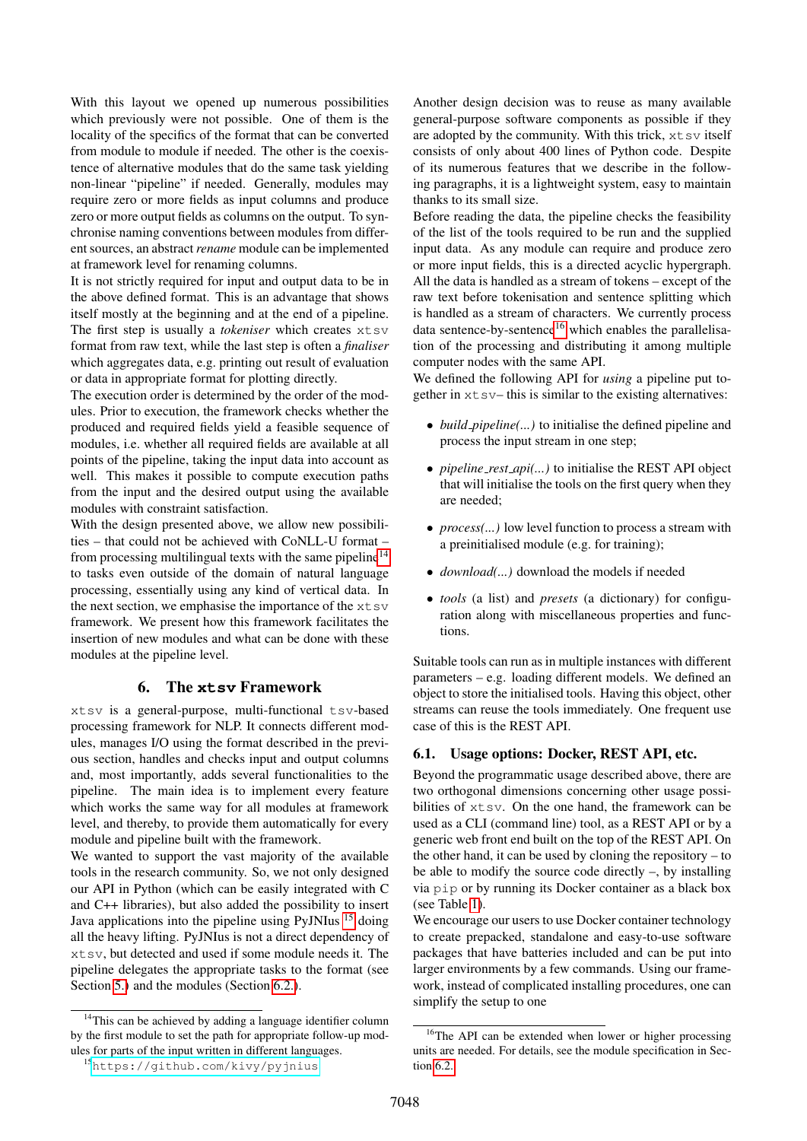With this layout we opened up numerous possibilities which previously were not possible. One of them is the locality of the specifics of the format that can be converted from module to module if needed. The other is the coexistence of alternative modules that do the same task yielding non-linear "pipeline" if needed. Generally, modules may require zero or more fields as input columns and produce zero or more output fields as columns on the output. To synchronise naming conventions between modules from different sources, an abstract*rename* module can be implemented at framework level for renaming columns.

It is not strictly required for input and output data to be in the above defined format. This is an advantage that shows itself mostly at the beginning and at the end of a pipeline. The first step is usually a *tokeniser* which creates xtsv format from raw text, while the last step is often a *finaliser* which aggregates data, e.g. printing out result of evaluation or data in appropriate format for plotting directly.

The execution order is determined by the order of the modules. Prior to execution, the framework checks whether the produced and required fields yield a feasible sequence of modules, i.e. whether all required fields are available at all points of the pipeline, taking the input data into account as well. This makes it possible to compute execution paths from the input and the desired output using the available modules with constraint satisfaction.

With the design presented above, we allow new possibilities – that could not be achieved with CoNLL-U format – from processing multilingual texts with the same pipeline $14$ to tasks even outside of the domain of natural language processing, essentially using any kind of vertical data. In the next section, we emphasise the importance of the  $x$ t s $v$ framework. We present how this framework facilitates the insertion of new modules and what can be done with these modules at the pipeline level.

### 6. The **xtsv** Framework

xtsv is a general-purpose, multi-functional tsv-based processing framework for NLP. It connects different modules, manages I/O using the format described in the previous section, handles and checks input and output columns and, most importantly, adds several functionalities to the pipeline. The main idea is to implement every feature which works the same way for all modules at framework level, and thereby, to provide them automatically for every module and pipeline built with the framework.

We wanted to support the vast majority of the available tools in the research community. So, we not only designed our API in Python (which can be easily integrated with C and C++ libraries), but also added the possibility to insert Java applications into the pipeline using PyJNIus [15](#page-4-1) doing all the heavy lifting. PyJNIus is not a direct dependency of xtsv, but detected and used if some module needs it. The pipeline delegates the appropriate tasks to the format (see Section [5.\)](#page-3-6) and the modules (Section [6.2.\)](#page-5-0).

Another design decision was to reuse as many available general-purpose software components as possible if they are adopted by the community. With this trick,  $x$ t sv itself consists of only about 400 lines of Python code. Despite of its numerous features that we describe in the following paragraphs, it is a lightweight system, easy to maintain thanks to its small size.

Before reading the data, the pipeline checks the feasibility of the list of the tools required to be run and the supplied input data. As any module can require and produce zero or more input fields, this is a directed acyclic hypergraph. All the data is handled as a stream of tokens – except of the raw text before tokenisation and sentence splitting which is handled as a stream of characters. We currently process data sentence-by-sentence $16$  which enables the parallelisation of the processing and distributing it among multiple computer nodes with the same API.

We defined the following API for *using* a pipeline put together in  $x \text{ to } y$  this is similar to the existing alternatives:

- *build\_pipeline(...)* to initialise the defined pipeline and process the input stream in one step;
- *pipeline rest api(...)* to initialise the REST API object that will initialise the tools on the first query when they are needed;
- *process*(...) low level function to process a stream with a preinitialised module (e.g. for training);
- *download(...)* download the models if needed
- *tools* (a list) and *presets* (a dictionary) for configuration along with miscellaneous properties and functions.

Suitable tools can run as in multiple instances with different parameters – e.g. loading different models. We defined an object to store the initialised tools. Having this object, other streams can reuse the tools immediately. One frequent use case of this is the REST API.

### 6.1. Usage options: Docker, REST API, etc.

Beyond the programmatic usage described above, there are two orthogonal dimensions concerning other usage possibilities of xtsv. On the one hand, the framework can be used as a CLI (command line) tool, as a REST API or by a generic web front end built on the top of the REST API. On the other hand, it can be used by cloning the repository – to be able to modify the source code directly –, by installing via pip or by running its Docker container as a black box (see Table [1\)](#page-5-1).

We encourage our users to use Docker container technology to create prepacked, standalone and easy-to-use software packages that have batteries included and can be put into larger environments by a few commands. Using our framework, instead of complicated installing procedures, one can simplify the setup to one

<span id="page-4-0"></span><sup>&</sup>lt;sup>14</sup>This can be achieved by adding a language identifier column by the first module to set the path for appropriate follow-up modules for parts of the input written in different languages.

<span id="page-4-1"></span><sup>15</sup><https://github.com/kivy/pyjnius>

<span id="page-4-2"></span><sup>&</sup>lt;sup>16</sup>The API can be extended when lower or higher processing units are needed. For details, see the module specification in Section [6.2.](#page-5-0)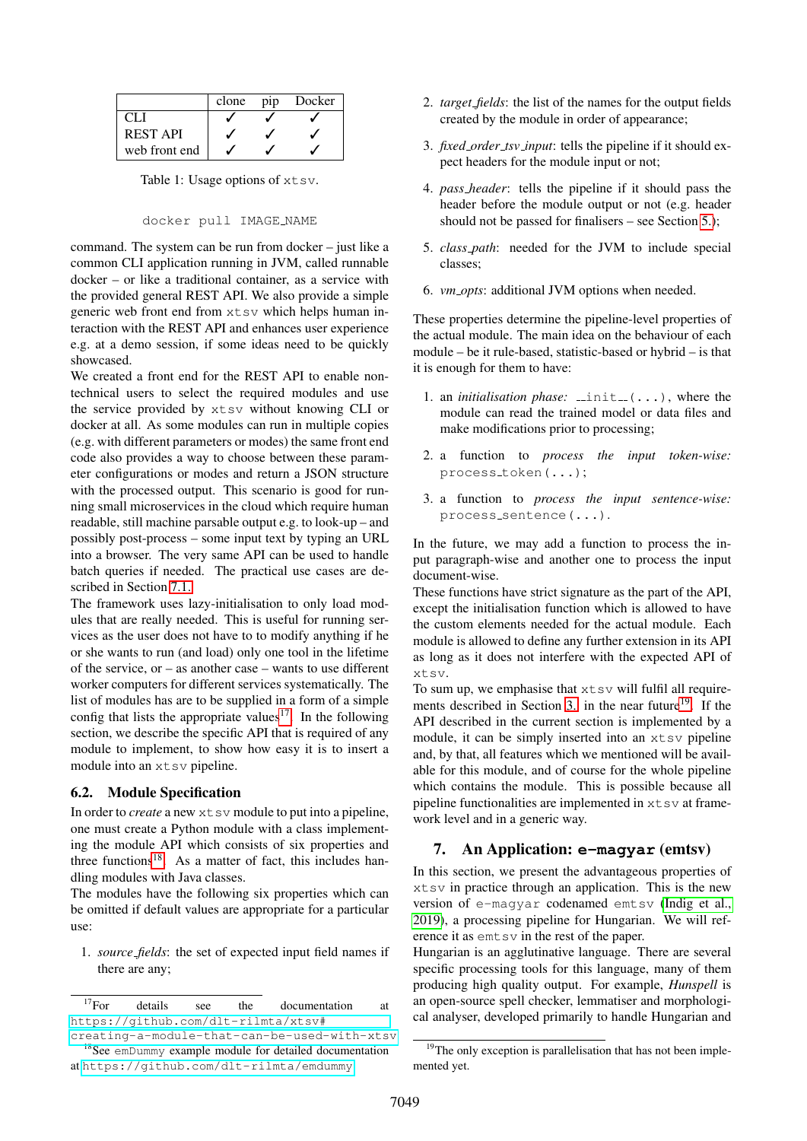|                 | clone | D1D | Docker |
|-----------------|-------|-----|--------|
| CL I            |       |     |        |
| <b>REST API</b> |       |     |        |
| web front end   |       |     |        |

<span id="page-5-1"></span>Table 1: Usage options of  $x$ tsv.

#### docker pull IMAGE NAME

command. The system can be run from docker – just like a common CLI application running in JVM, called runnable docker – or like a traditional container, as a service with the provided general REST API. We also provide a simple generic web front end from xtsv which helps human interaction with the REST API and enhances user experience e.g. at a demo session, if some ideas need to be quickly showcased.

We created a front end for the REST API to enable nontechnical users to select the required modules and use the service provided by xtsv without knowing CLI or docker at all. As some modules can run in multiple copies (e.g. with different parameters or modes) the same front end code also provides a way to choose between these parameter configurations or modes and return a JSON structure with the processed output. This scenario is good for running small microservices in the cloud which require human readable, still machine parsable output e.g. to look-up – and possibly post-process – some input text by typing an URL into a browser. The very same API can be used to handle batch queries if needed. The practical use cases are described in Section [7.1.](#page-6-1)

The framework uses lazy-initialisation to only load modules that are really needed. This is useful for running services as the user does not have to to modify anything if he or she wants to run (and load) only one tool in the lifetime of the service, or – as another case – wants to use different worker computers for different services systematically. The list of modules has are to be supplied in a form of a simple config that lists the appropriate values<sup>[17](#page-5-2)</sup>. In the following section, we describe the specific API that is required of any module to implement, to show how easy it is to insert a module into an  $x$ tsv pipeline.

#### <span id="page-5-0"></span>6.2. Module Specification

In order to *create* a new  $x$ t sv module to put into a pipeline, one must create a Python module with a class implementing the module API which consists of six properties and three functions<sup>[18](#page-5-3)</sup>. As a matter of fact, this includes handling modules with Java classes.

The modules have the following six properties which can be omitted if default values are appropriate for a particular use:

1. *source fields*: the set of expected input field names if there are any;

<span id="page-5-2"></span> $^{17}$ For details see the documentation at [https://github.com/dlt-rilmta/xtsv#](https://github.com/dlt-rilmta/xtsv#creating-a-module-that-can-be-used-with-xtsv)

- 2. *target fields*: the list of the names for the output fields created by the module in order of appearance;
- 3. *fixed order tsv input*: tells the pipeline if it should expect headers for the module input or not;
- 4. *pass header*: tells the pipeline if it should pass the header before the module output or not (e.g. header should not be passed for finalisers – see Section [5.\)](#page-3-6);
- 5. *class path*: needed for the JVM to include special classes;
- 6. *vm opts*: additional JVM options when needed.

These properties determine the pipeline-level properties of the actual module. The main idea on the behaviour of each module – be it rule-based, statistic-based or hybrid – is that it is enough for them to have:

- 1. an *initialisation phase:*  $\text{unit}(\ldots)$ , where the module can read the trained model or data files and make modifications prior to processing;
- 2. a function to *process the input token-wise:* process token(...);
- 3. a function to *process the input sentence-wise:* process sentence(...).

In the future, we may add a function to process the input paragraph-wise and another one to process the input document-wise.

These functions have strict signature as the part of the API, except the initialisation function which is allowed to have the custom elements needed for the actual module. Each module is allowed to define any further extension in its API as long as it does not interfere with the expected API of xtsv.

To sum up, we emphasise that  $x$ tsv will fulfil all require-ments described in Section [3.](#page-1-2) in the near future<sup>[19](#page-5-4)</sup>. If the API described in the current section is implemented by a module, it can be simply inserted into an  $x$ tsv pipeline and, by that, all features which we mentioned will be available for this module, and of course for the whole pipeline which contains the module. This is possible because all pipeline functionalities are implemented in  $x$ t s $v$  at framework level and in a generic way.

## 7. An Application: **e-magyar** (emtsv)

In this section, we present the advantageous properties of xtsv in practice through an application. This is the new version of e-magyar codenamed emtsv [\(Indig et al.,](#page-8-7) [2019\)](#page-8-7), a processing pipeline for Hungarian. We will reference it as emtsv in the rest of the paper.

Hungarian is an agglutinative language. There are several specific processing tools for this language, many of them producing high quality output. For example, *Hunspell* is an open-source spell checker, lemmatiser and morphological analyser, developed primarily to handle Hungarian and

<span id="page-5-3"></span>[creating-a-module-that-can-be-used-with-xtsv](https://github.com/dlt-rilmta/xtsv#creating-a-module-that-can-be-used-with-xtsv) <sup>18</sup>See emDummy example module for detailed documentation

at <https://github.com/dlt-rilmta/emdummy>

<span id="page-5-4"></span><sup>&</sup>lt;sup>19</sup>The only exception is parallelisation that has not been implemented yet.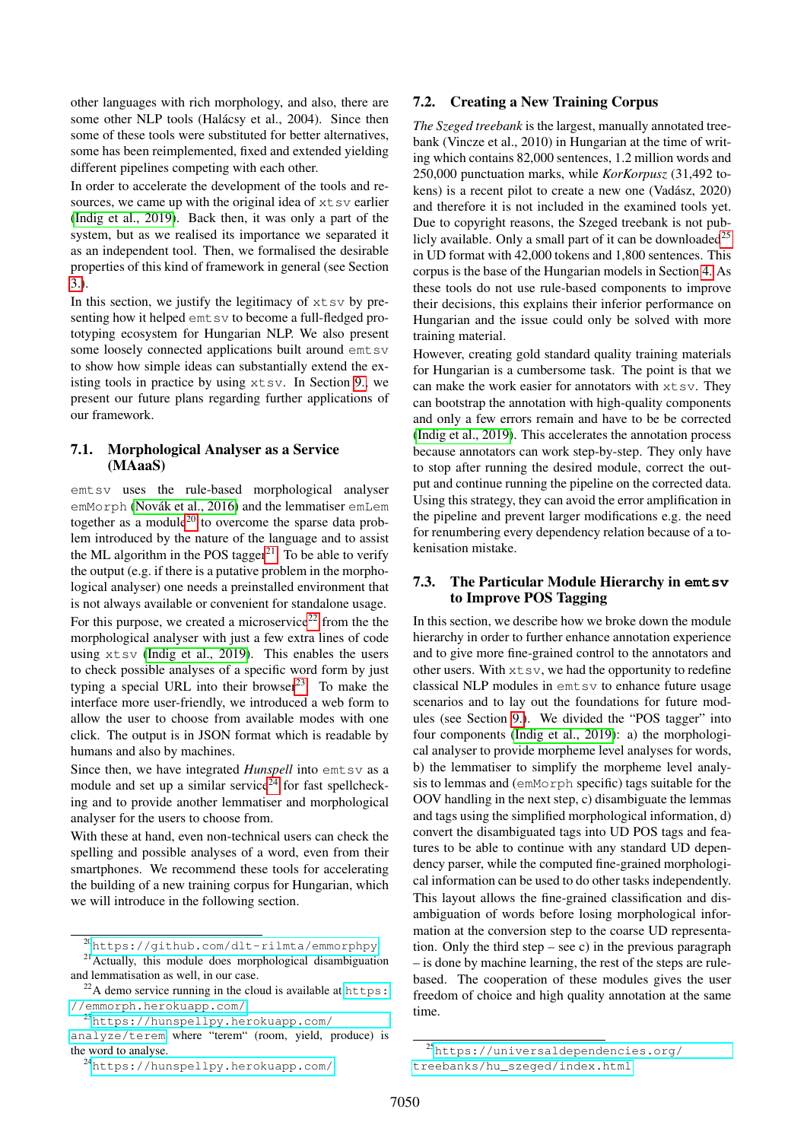other languages with rich morphology, and also, there are some other NLP tools (Halácsy et al., 2004). Since then some of these tools were substituted for better alternatives, some has been reimplemented, fixed and extended yielding different pipelines competing with each other.

In order to accelerate the development of the tools and resources, we came up with the original idea of  $x$ t sv earlier [\(Indig et al., 2019\)](#page-8-7). Back then, it was only a part of the system, but as we realised its importance we separated it as an independent tool. Then, we formalised the desirable properties of this kind of framework in general (see Section [3.\)](#page-1-2).

In this section, we justify the legitimacy of  $x$ tsv by presenting how it helped emt sv to become a full-fledged prototyping ecosystem for Hungarian NLP. We also present some loosely connected applications built around emt sv to show how simple ideas can substantially extend the existing tools in practice by using  $x \text{tsv}$ . In Section [9.,](#page-7-1) we present our future plans regarding further applications of our framework.

### <span id="page-6-1"></span>7.1. Morphological Analyser as a Service (MAaaS)

emtsv uses the rule-based morphological analyser emMorph (Novák et al., 2016) and the lemmatiser emLem together as a module<sup>[20](#page-6-2)</sup> to overcome the sparse data problem introduced by the nature of the language and to assist the ML algorithm in the POS tagger<sup>[21](#page-6-3)</sup>. To be able to verify the output (e.g. if there is a putative problem in the morphological analyser) one needs a preinstalled environment that is not always available or convenient for standalone usage. For this purpose, we created a microservice<sup>[22](#page-6-4)</sup> from the the morphological analyser with just a few extra lines of code using xtsv [\(Indig et al., 2019\)](#page-8-7). This enables the users to check possible analyses of a specific word form by just typing a special URL into their browser $^{23}$  $^{23}$  $^{23}$ . To make the interface more user-friendly, we introduced a web form to allow the user to choose from available modes with one click. The output is in JSON format which is readable by humans and also by machines.

Since then, we have integrated *Hunspell* into emt sv as a module and set up a similar service<sup>[24](#page-6-6)</sup> for fast spellchecking and to provide another lemmatiser and morphological analyser for the users to choose from.

With these at hand, even non-technical users can check the spelling and possible analyses of a word, even from their smartphones. We recommend these tools for accelerating the building of a new training corpus for Hungarian, which we will introduce in the following section.

### 7.2. Creating a New Training Corpus

*The Szeged treebank* is the largest, manually annotated treebank (Vincze et al., 2010) in Hungarian at the time of writing which contains 82,000 sentences, 1.2 million words and 250,000 punctuation marks, while *KorKorpusz* (31,492 tokens) is a recent pilot to create a new one (Vadász, 2020) and therefore it is not included in the examined tools yet. Due to copyright reasons, the Szeged treebank is not pub-licly available. Only a small part of it can be downloaded<sup>[25](#page-6-7)</sup> in UD format with 42,000 tokens and 1,800 sentences. This corpus is the base of the Hungarian models in Section [4.](#page-2-6) As these tools do not use rule-based components to improve their decisions, this explains their inferior performance on Hungarian and the issue could only be solved with more training material.

However, creating gold standard quality training materials for Hungarian is a cumbersome task. The point is that we can make the work easier for annotators with xtsv. They can bootstrap the annotation with high-quality components and only a few errors remain and have to be be corrected [\(Indig et al., 2019\)](#page-8-7). This accelerates the annotation process because annotators can work step-by-step. They only have to stop after running the desired module, correct the output and continue running the pipeline on the corrected data. Using this strategy, they can avoid the error amplification in the pipeline and prevent larger modifications e.g. the need for renumbering every dependency relation because of a tokenisation mistake.

### <span id="page-6-0"></span>7.3. The Particular Module Hierarchy in **emtsv** to Improve POS Tagging

In this section, we describe how we broke down the module hierarchy in order to further enhance annotation experience and to give more fine-grained control to the annotators and other users. With  $x \text{t} s v$ , we had the opportunity to redefine classical NLP modules in emtsv to enhance future usage scenarios and to lay out the foundations for future modules (see Section [9.\)](#page-7-1). We divided the "POS tagger" into four components [\(Indig et al., 2019\)](#page-8-7): a) the morphological analyser to provide morpheme level analyses for words, b) the lemmatiser to simplify the morpheme level analysis to lemmas and (emMorph specific) tags suitable for the OOV handling in the next step, c) disambiguate the lemmas and tags using the simplified morphological information, d) convert the disambiguated tags into UD POS tags and features to be able to continue with any standard UD dependency parser, while the computed fine-grained morphological information can be used to do other tasks independently. This layout allows the fine-grained classification and disambiguation of words before losing morphological information at the conversion step to the coarse UD representation. Only the third step – see c) in the previous paragraph – is done by machine learning, the rest of the steps are rulebased. The cooperation of these modules gives the user freedom of choice and high quality annotation at the same time.

<span id="page-6-3"></span><span id="page-6-2"></span><sup>20</sup><https://github.com/dlt-rilmta/emmorphpy>

<sup>&</sup>lt;sup>21</sup> Actually, this module does morphological disambiguation and lemmatisation as well, in our case.

<span id="page-6-4"></span> $^{22}$ A demo service running in the cloud is available at [https:](https://emmorph.herokuapp.com/) [//emmorph.herokuapp.com/](https://emmorph.herokuapp.com/).

<span id="page-6-5"></span><sup>23</sup>[https://hunspellpy.herokuapp.com/](https://hunspellpy.herokuapp.com/analyze/terem)

[analyze/terem](https://hunspellpy.herokuapp.com/analyze/terem) where "terem" (room, yield, produce) is the word to analyse.

<span id="page-6-6"></span><sup>24</sup><https://hunspellpy.herokuapp.com/>

<span id="page-6-7"></span><sup>25</sup>[https://universaldependencies.org/](https://universaldependencies.org/treebanks/hu_szeged/index.html) [treebanks/hu\\_szeged/index.html](https://universaldependencies.org/treebanks/hu_szeged/index.html)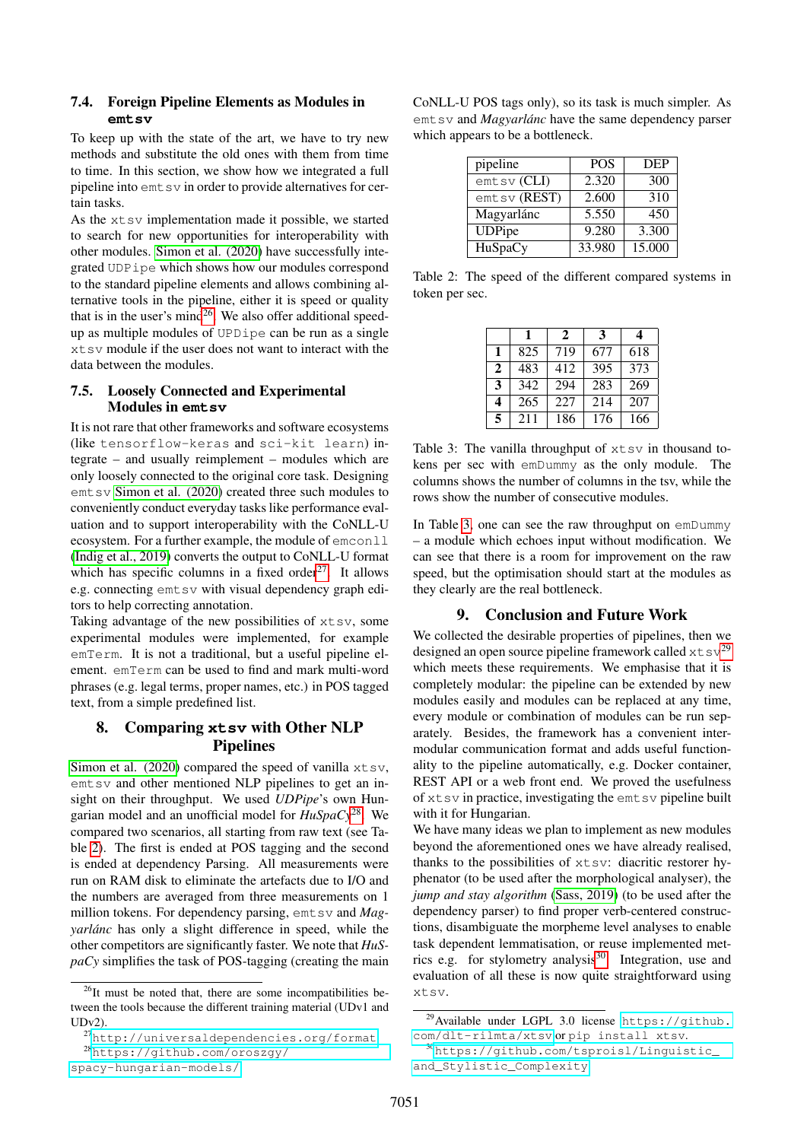### 7.4. Foreign Pipeline Elements as Modules in **emtsv**

To keep up with the state of the art, we have to try new methods and substitute the old ones with them from time to time. In this section, we show how we integrated a full pipeline into  $emt$  sv in order to provide alternatives for certain tasks.

As the xtsv implementation made it possible, we started to search for new opportunities for interoperability with other modules. [Simon et al. \(2020\)](#page-8-9) have successfully integrated UDPipe which shows how our modules correspond to the standard pipeline elements and allows combining alternative tools in the pipeline, either it is speed or quality that is in the user's mind<sup>[26](#page-7-2)</sup>. We also offer additional speedup as multiple modules of UPDipe can be run as a single xtsv module if the user does not want to interact with the data between the modules.

### 7.5. Loosely Connected and Experimental Modules in **emtsv**

It is not rare that other frameworks and software ecosystems (like tensorflow-keras and sci-kit learn) integrate – and usually reimplement – modules which are only loosely connected to the original core task. Designing emtsv [Simon et al. \(2020\)](#page-8-9) created three such modules to conveniently conduct everyday tasks like performance evaluation and to support interoperability with the CoNLL-U ecosystem. For a further example, the module of emconll [\(Indig et al., 2019\)](#page-8-7) converts the output to CoNLL-U format which has specific columns in a fixed order $27$ . It allows e.g. connecting emtsv with visual dependency graph editors to help correcting annotation.

Taking advantage of the new possibilities of xtsv, some experimental modules were implemented, for example emTerm. It is not a traditional, but a useful pipeline element. emTerm can be used to find and mark multi-word phrases (e.g. legal terms, proper names, etc.) in POS tagged text, from a simple predefined list.

## <span id="page-7-0"></span>8. Comparing **xtsv** with Other NLP Pipelines

[Simon et al. \(2020\)](#page-8-9) compared the speed of vanilla  $x \text{tsv}$ , emtsv and other mentioned NLP pipelines to get an insight on their throughput. We used *UDPipe*'s own Hungarian model and an unofficial model for *HuSpaCy*[28](#page-7-4). We compared two scenarios, all starting from raw text (see Table [2\)](#page-7-5). The first is ended at POS tagging and the second is ended at dependency Parsing. All measurements were run on RAM disk to eliminate the artefacts due to I/O and the numbers are averaged from three measurements on 1 million tokens. For dependency parsing, emtsv and *Magyarlánc* has only a slight difference in speed, while the other competitors are significantly faster. We note that *HuSpaCy* simplifies the task of POS-tagging (creating the main

[spacy-hungarian-models/](https://github.com/oroszgy/spacy-hungarian-models/)

CoNLL-U POS tags only), so its task is much simpler. As emtsv and *Magyarlánc* have the same dependency parser which appears to be a bottleneck.

| pipeline      | <b>POS</b> | <b>DEP</b> |
|---------------|------------|------------|
| $emtsv$ (CLI) | 2.320      | 300        |
| emtsv (REST)  | 2.600      | 310        |
| Magyarlánc    | 5.550      | 450        |
| <b>UDPipe</b> | 9.280      | 3.300      |
| HuSpaCy       | 33.980     | 15.000     |

<span id="page-7-5"></span>Table 2: The speed of the different compared systems in token per sec.

|   | 1   | $\mathbf{2}$ | 3   | 4   |
|---|-----|--------------|-----|-----|
| 1 | 825 | 719          | 677 | 618 |
| 2 | 483 | 412          | 395 | 373 |
| 3 | 342 | 294          | 283 | 269 |
| 4 | 265 | 227          | 214 | 207 |
| 5 | 211 | 186          | 176 | 166 |

<span id="page-7-6"></span>Table 3: The vanilla throughput of  $x$ tsv in thousand tokens per sec with emDummy as the only module. The columns shows the number of columns in the tsv, while the rows show the number of consecutive modules.

In Table [3,](#page-7-6) one can see the raw throughput on emDummy – a module which echoes input without modification. We can see that there is a room for improvement on the raw speed, but the optimisation should start at the modules as they clearly are the real bottleneck.

### 9. Conclusion and Future Work

<span id="page-7-1"></span>We collected the desirable properties of pipelines, then we designed an open source pipeline framework called  $x \text{t} s v^{29}$  $x \text{t} s v^{29}$  $x \text{t} s v^{29}$ which meets these requirements. We emphasise that it is completely modular: the pipeline can be extended by new modules easily and modules can be replaced at any time, every module or combination of modules can be run separately. Besides, the framework has a convenient intermodular communication format and adds useful functionality to the pipeline automatically, e.g. Docker container, REST API or a web front end. We proved the usefulness of  $x$ tsv in practice, investigating the emtsv pipeline built with it for Hungarian.

We have many ideas we plan to implement as new modules beyond the aforementioned ones we have already realised, thanks to the possibilities of xtsv: diacritic restorer hyphenator (to be used after the morphological analyser), the *jump and stay algorithm* [\(Sass, 2019\)](#page-8-10) (to be used after the dependency parser) to find proper verb-centered constructions, disambiguate the morpheme level analyses to enable task dependent lemmatisation, or reuse implemented met-rics e.g. for stylometry analysis<sup>[30](#page-7-8)</sup>. Integration, use and evaluation of all these is now quite straightforward using xtsv.

<span id="page-7-2"></span> $26$ It must be noted that, there are some incompatibilities between the tools because the different training material (UDv1 and  $IDv2$ 

<span id="page-7-4"></span><span id="page-7-3"></span><sup>27</sup><http://universaldependencies.org/format> <sup>28</sup>[https://github.com/oroszgy/](https://github.com/oroszgy/spacy-hungarian-models/)

<span id="page-7-7"></span><sup>29</sup>Available under LGPL 3.0 license [https://github.](https://github.com/dlt-rilmta/xtsv) [com/dlt-rilmta/xtsv](https://github.com/dlt-rilmta/xtsv) or pip install xtsv.

<span id="page-7-8"></span><sup>30</sup>[https://github.com/tsproisl/Linguistic\\_](https://github.com/tsproisl/Linguistic_and_Stylistic_Complexity) [and\\_Stylistic\\_Complexity](https://github.com/tsproisl/Linguistic_and_Stylistic_Complexity)